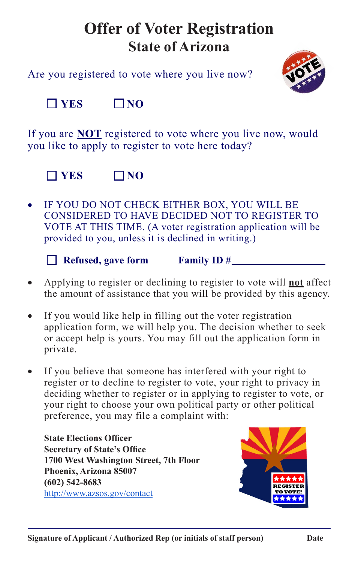## **Offer of Voter Registration State of Arizona**

Are you registered to vote where you live now?



 $\neg$  YES  $\neg$  NO

If you are **NOT** registered to vote where you live now, would you like to apply to register to vote here today?



IF YOU DO NOT CHECK EITHER BOX, YOU WILL BE CONSIDERED TO HAVE DECIDED NOT TO REGISTER TO VOTE AT THIS TIME. (A voter registration application will be provided to you, unless it is declined in writing.)

 **Refused, gave form Family ID #**

- Applying to register or declining to register to vote will **not** affect the amount of assistance that you will be provided by this agency.
- If you would like help in filling out the voter registration application form, we will help you. The decision whether to seek or accept help is yours. You may fill out the application form in private.
- If you believe that someone has interfered with your right to register or to decline to register to vote, your right to privacy in deciding whether to register or in applying to register to vote, or your right to choose your own political party or other political preference, you may file a complaint with:

**State Elections Officer Secretary of State's Office 1700 West Washington Street, 7th Floor Phoenix, Arizona 85007 (602) 542-8683** <http://www.azsos.gov/contact>